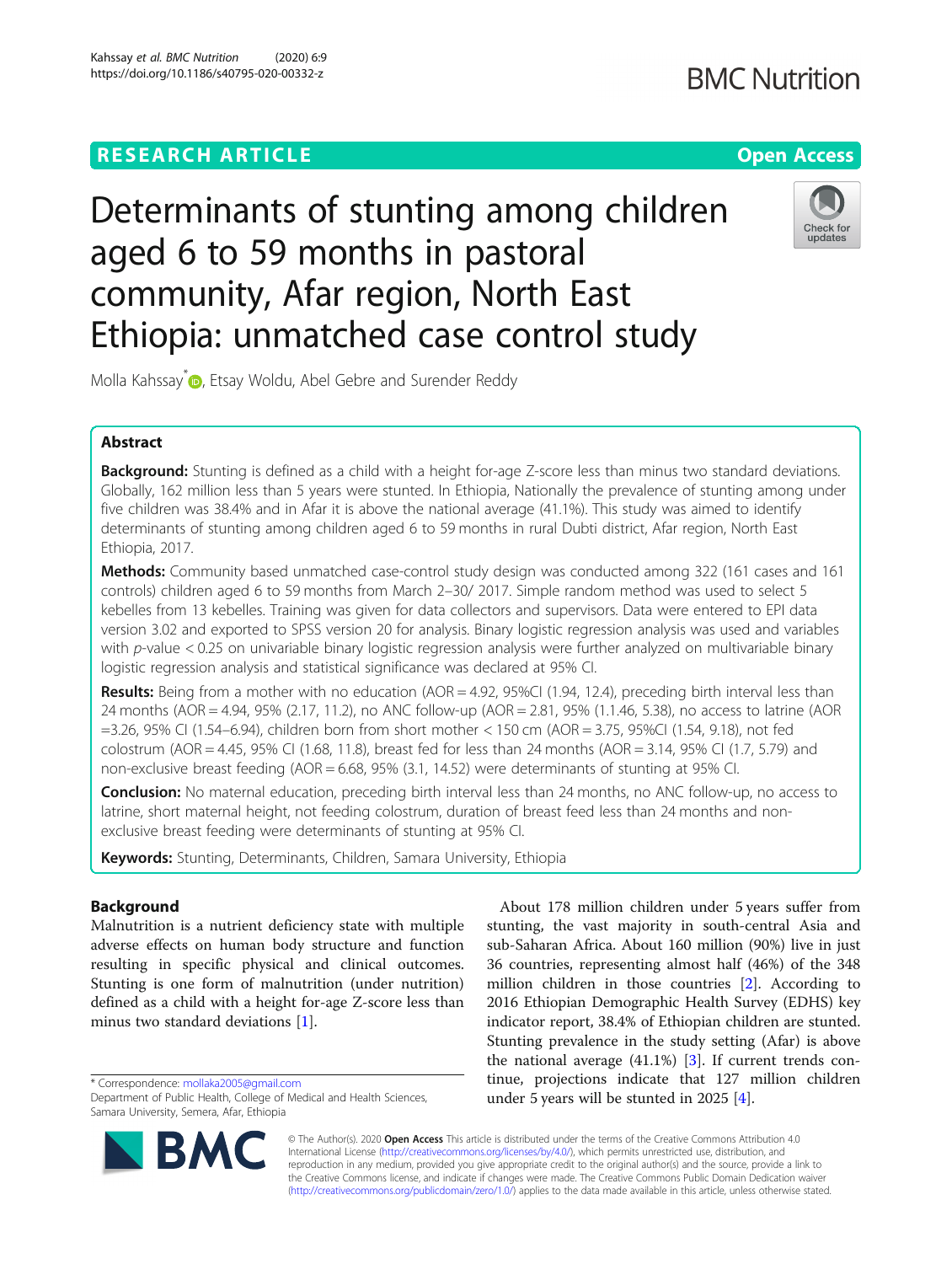# **RESEARCH ARTICLE Example 2014 12:30 The Contract of Contract ACCESS**

# Determinants of stunting among children aged 6 to 59 months in pastoral community, Afar region, North East Ethiopia: unmatched case control study

Molla Kahssay<sup>\*</sup> <sub>(b</sub>[,](http://orcid.org/0000-0002-6665-6403) Etsay Woldu, Abel Gebre and Surender Reddy

# Abstract

Background: Stunting is defined as a child with a height for-age Z-score less than minus two standard deviations. Globally, 162 million less than 5 years were stunted. In Ethiopia, Nationally the prevalence of stunting among under five children was 38.4% and in Afar it is above the national average (41.1%). This study was aimed to identify determinants of stunting among children aged 6 to 59 months in rural Dubti district, Afar region, North East Ethiopia, 2017.

Methods: Community based unmatched case-control study design was conducted among 322 (161 cases and 161 controls) children aged 6 to 59 months from March 2–30/ 2017. Simple random method was used to select 5 kebelles from 13 kebelles. Training was given for data collectors and supervisors. Data were entered to EPI data version 3.02 and exported to SPSS version 20 for analysis. Binary logistic regression analysis was used and variables with p-value < 0.25 on univariable binary logistic regression analysis were further analyzed on multivariable binary logistic regression analysis and statistical significance was declared at 95% CI.

Results: Being from a mother with no education (AOR = 4.92, 95%CI (1.94, 12.4), preceding birth interval less than 24 months (AOR = 4.94, 95% (2.17, 11.2), no ANC follow-up (AOR = 2.81, 95% (1.1.46, 5.38), no access to latrine (AOR =3.26, 95% CI (1.54–6.94), children born from short mother < 150 cm (AOR = 3.75, 95%CI (1.54, 9.18), not fed colostrum (AOR = 4.45, 95% CI (1.68, 11.8), breast fed for less than 24 months (AOR = 3.14, 95% CI (1.7, 5.79) and non-exclusive breast feeding (AOR = 6.68, 95% (3.1, 14.52) were determinants of stunting at 95% CI.

Conclusion: No maternal education, preceding birth interval less than 24 months, no ANC follow-up, no access to latrine, short maternal height, not feeding colostrum, duration of breast feed less than 24 months and nonexclusive breast feeding were determinants of stunting at 95% CI.

Keywords: Stunting, Determinants, Children, Samara University, Ethiopia

# Background

Malnutrition is a nutrient deficiency state with multiple adverse effects on human body structure and function resulting in specific physical and clinical outcomes. Stunting is one form of malnutrition (under nutrition) defined as a child with a height for-age Z-score less than minus two standard deviations [\[1](#page-6-0)].

\* Correspondence: [mollaka2005@gmail.com](mailto:mollaka2005@gmail.com)

© The Author(s). 2020 **Open Access** This article is distributed under the terms of the Creative Commons Attribution 4.0 International License [\(http://creativecommons.org/licenses/by/4.0/](http://creativecommons.org/licenses/by/4.0/)), which permits unrestricted use, distribution, and reproduction in any medium, provided you give appropriate credit to the original author(s) and the source, provide a link to the Creative Commons license, and indicate if changes were made. The Creative Commons Public Domain Dedication waiver [\(http://creativecommons.org/publicdomain/zero/1.0/](http://creativecommons.org/publicdomain/zero/1.0/)) applies to the data made available in this article, unless otherwise stated.

About 178 million children under 5 years suffer from stunting, the vast majority in south-central Asia and sub-Saharan Africa. About 160 million (90%) live in just 36 countries, representing almost half (46%) of the 348 million children in those countries [\[2](#page-6-0)]. According to 2016 Ethiopian Demographic Health Survey (EDHS) key Stunting prevalence in the study setting (Afar) is above tinue, projections indicate that 127 million children

indicator report, 38.4% of Ethiopian children are stunted. the national average  $(41.1\%)$  [\[3](#page-7-0)]. If current trends conunder 5 years will be stunted in 2025 [\[4](#page-7-0)].





Department of Public Health, College of Medical and Health Sciences, Samara University, Semera, Afar, Ethiopia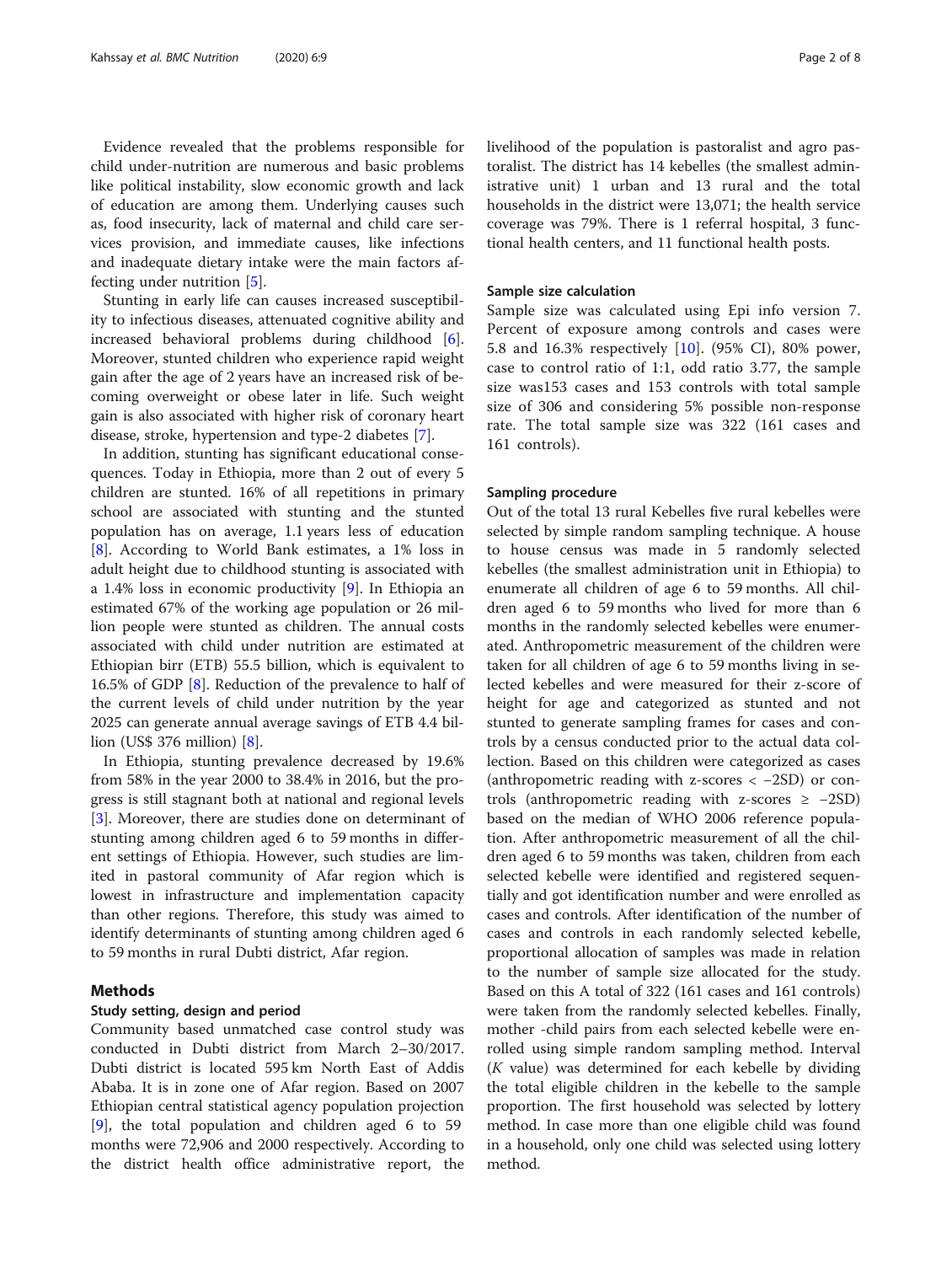Evidence revealed that the problems responsible for child under-nutrition are numerous and basic problems like political instability, slow economic growth and lack of education are among them. Underlying causes such as, food insecurity, lack of maternal and child care services provision, and immediate causes, like infections and inadequate dietary intake were the main factors affecting under nutrition [[5\]](#page-7-0).

Stunting in early life can causes increased susceptibility to infectious diseases, attenuated cognitive ability and increased behavioral problems during childhood [\[6](#page-7-0)]. Moreover, stunted children who experience rapid weight gain after the age of 2 years have an increased risk of becoming overweight or obese later in life. Such weight gain is also associated with higher risk of coronary heart disease, stroke, hypertension and type-2 diabetes [[7\]](#page-7-0).

In addition, stunting has significant educational consequences. Today in Ethiopia, more than 2 out of every 5 children are stunted. 16% of all repetitions in primary school are associated with stunting and the stunted population has on average, 1.1 years less of education [[8\]](#page-7-0). According to World Bank estimates, a 1% loss in adult height due to childhood stunting is associated with a 1.4% loss in economic productivity [\[9\]](#page-7-0). In Ethiopia an estimated 67% of the working age population or 26 million people were stunted as children. The annual costs associated with child under nutrition are estimated at Ethiopian birr (ETB) 55.5 billion, which is equivalent to 16.5% of GDP [[8\]](#page-7-0). Reduction of the prevalence to half of the current levels of child under nutrition by the year 2025 can generate annual average savings of ETB 4.4 billion (US\$ 376 million) [\[8](#page-7-0)].

In Ethiopia, stunting prevalence decreased by 19.6% from 58% in the year 2000 to 38.4% in 2016, but the progress is still stagnant both at national and regional levels [[3\]](#page-7-0). Moreover, there are studies done on determinant of stunting among children aged 6 to 59 months in different settings of Ethiopia. However, such studies are limited in pastoral community of Afar region which is lowest in infrastructure and implementation capacity than other regions. Therefore, this study was aimed to identify determinants of stunting among children aged 6 to 59 months in rural Dubti district, Afar region.

# Methods

## Study setting, design and period

Community based unmatched case control study was conducted in Dubti district from March 2–30/2017. Dubti district is located 595 km North East of Addis Ababa. It is in zone one of Afar region. Based on 2007 Ethiopian central statistical agency population projection [[9\]](#page-7-0), the total population and children aged 6 to 59 months were 72,906 and 2000 respectively. According to the district health office administrative report, the livelihood of the population is pastoralist and agro pastoralist. The district has 14 kebelles (the smallest administrative unit) 1 urban and 13 rural and the total households in the district were 13,071; the health service coverage was 79%. There is 1 referral hospital, 3 functional health centers, and 11 functional health posts.

#### Sample size calculation

Sample size was calculated using Epi info version 7. Percent of exposure among controls and cases were 5.8 and 16.3% respectively [\[10](#page-7-0)]. (95% CI), 80% power, case to control ratio of 1:1, odd ratio 3.77, the sample size was153 cases and 153 controls with total sample size of 306 and considering 5% possible non-response rate. The total sample size was 322 (161 cases and 161 controls).

#### Sampling procedure

Out of the total 13 rural Kebelles five rural kebelles were selected by simple random sampling technique. A house to house census was made in 5 randomly selected kebelles (the smallest administration unit in Ethiopia) to enumerate all children of age 6 to 59 months. All children aged 6 to 59 months who lived for more than 6 months in the randomly selected kebelles were enumerated. Anthropometric measurement of the children were taken for all children of age 6 to 59 months living in selected kebelles and were measured for their z-score of height for age and categorized as stunted and not stunted to generate sampling frames for cases and controls by a census conducted prior to the actual data collection. Based on this children were categorized as cases (anthropometric reading with z-scores < −2SD) or controls (anthropometric reading with z-scores  $\ge -2SD$ ) based on the median of WHO 2006 reference population. After anthropometric measurement of all the children aged 6 to 59 months was taken, children from each selected kebelle were identified and registered sequentially and got identification number and were enrolled as cases and controls. After identification of the number of cases and controls in each randomly selected kebelle, proportional allocation of samples was made in relation to the number of sample size allocated for the study. Based on this A total of 322 (161 cases and 161 controls) were taken from the randomly selected kebelles. Finally, mother -child pairs from each selected kebelle were enrolled using simple random sampling method. Interval (K value) was determined for each kebelle by dividing the total eligible children in the kebelle to the sample proportion. The first household was selected by lottery method. In case more than one eligible child was found in a household, only one child was selected using lottery method.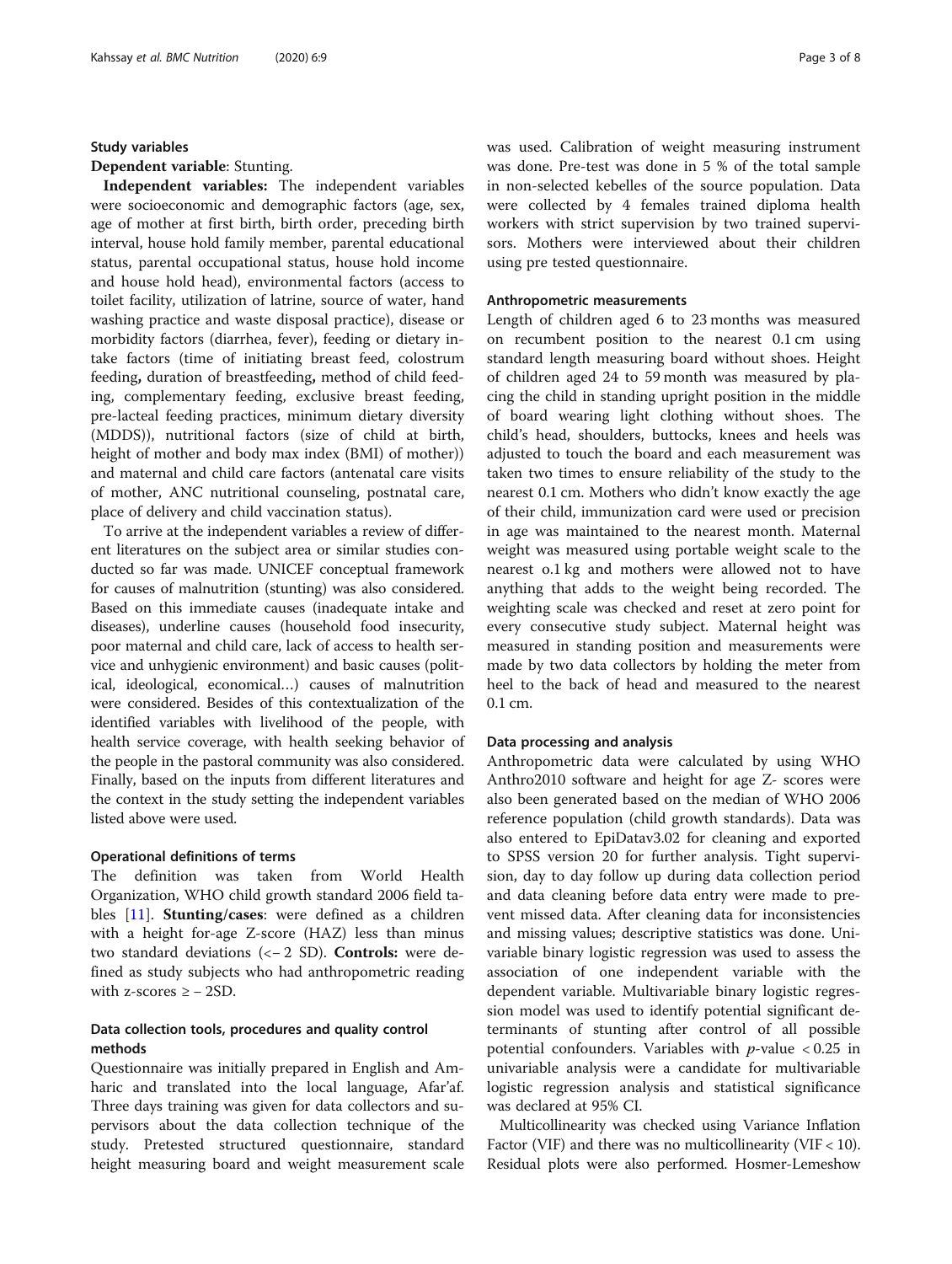#### Study variables

## Dependent variable: Stunting.

Independent variables: The independent variables were socioeconomic and demographic factors (age, sex, age of mother at first birth, birth order, preceding birth interval, house hold family member, parental educational status, parental occupational status, house hold income and house hold head), environmental factors (access to toilet facility, utilization of latrine, source of water, hand washing practice and waste disposal practice), disease or morbidity factors (diarrhea, fever), feeding or dietary intake factors (time of initiating breast feed, colostrum feeding, duration of breastfeeding, method of child feeding, complementary feeding, exclusive breast feeding, pre-lacteal feeding practices, minimum dietary diversity (MDDS)), nutritional factors (size of child at birth, height of mother and body max index (BMI) of mother)) and maternal and child care factors (antenatal care visits of mother, ANC nutritional counseling, postnatal care, place of delivery and child vaccination status).

To arrive at the independent variables a review of different literatures on the subject area or similar studies conducted so far was made. UNICEF conceptual framework for causes of malnutrition (stunting) was also considered. Based on this immediate causes (inadequate intake and diseases), underline causes (household food insecurity, poor maternal and child care, lack of access to health service and unhygienic environment) and basic causes (political, ideological, economical…) causes of malnutrition were considered. Besides of this contextualization of the identified variables with livelihood of the people, with health service coverage, with health seeking behavior of the people in the pastoral community was also considered. Finally, based on the inputs from different literatures and the context in the study setting the independent variables listed above were used.

#### Operational definitions of terms

The definition was taken from World Health Organization, WHO child growth standard 2006 field ta-bles [\[11](#page-7-0)]. Stunting/cases: were defined as a children with a height for-age Z-score (HAZ) less than minus two standard deviations (<− 2 SD). Controls: were defined as study subjects who had anthropometric reading with z-scores  $\geq$  – 2SD.

# Data collection tools, procedures and quality control methods

Questionnaire was initially prepared in English and Amharic and translated into the local language, Afar'af. Three days training was given for data collectors and supervisors about the data collection technique of the study. Pretested structured questionnaire, standard height measuring board and weight measurement scale was used. Calibration of weight measuring instrument was done. Pre-test was done in 5 % of the total sample in non-selected kebelles of the source population. Data were collected by 4 females trained diploma health workers with strict supervision by two trained supervisors. Mothers were interviewed about their children using pre tested questionnaire.

#### Anthropometric measurements

Length of children aged 6 to 23 months was measured on recumbent position to the nearest 0.1 cm using standard length measuring board without shoes. Height of children aged 24 to 59 month was measured by placing the child in standing upright position in the middle of board wearing light clothing without shoes. The child's head, shoulders, buttocks, knees and heels was adjusted to touch the board and each measurement was taken two times to ensure reliability of the study to the nearest 0.1 cm. Mothers who didn't know exactly the age of their child, immunization card were used or precision in age was maintained to the nearest month. Maternal weight was measured using portable weight scale to the nearest o.1 kg and mothers were allowed not to have anything that adds to the weight being recorded. The weighting scale was checked and reset at zero point for every consecutive study subject. Maternal height was measured in standing position and measurements were made by two data collectors by holding the meter from heel to the back of head and measured to the nearest 0.1 cm.

#### Data processing and analysis

Anthropometric data were calculated by using WHO Anthro2010 software and height for age Z- scores were also been generated based on the median of WHO 2006 reference population (child growth standards). Data was also entered to EpiDatav3.02 for cleaning and exported to SPSS version 20 for further analysis. Tight supervision, day to day follow up during data collection period and data cleaning before data entry were made to prevent missed data. After cleaning data for inconsistencies and missing values; descriptive statistics was done. Univariable binary logistic regression was used to assess the association of one independent variable with the dependent variable. Multivariable binary logistic regression model was used to identify potential significant determinants of stunting after control of all possible potential confounders. Variables with  $p$ -value < 0.25 in univariable analysis were a candidate for multivariable logistic regression analysis and statistical significance was declared at 95% CI.

Multicollinearity was checked using Variance Inflation Factor (VIF) and there was no multicollinearity (VIF  $<$  10). Residual plots were also performed. Hosmer-Lemeshow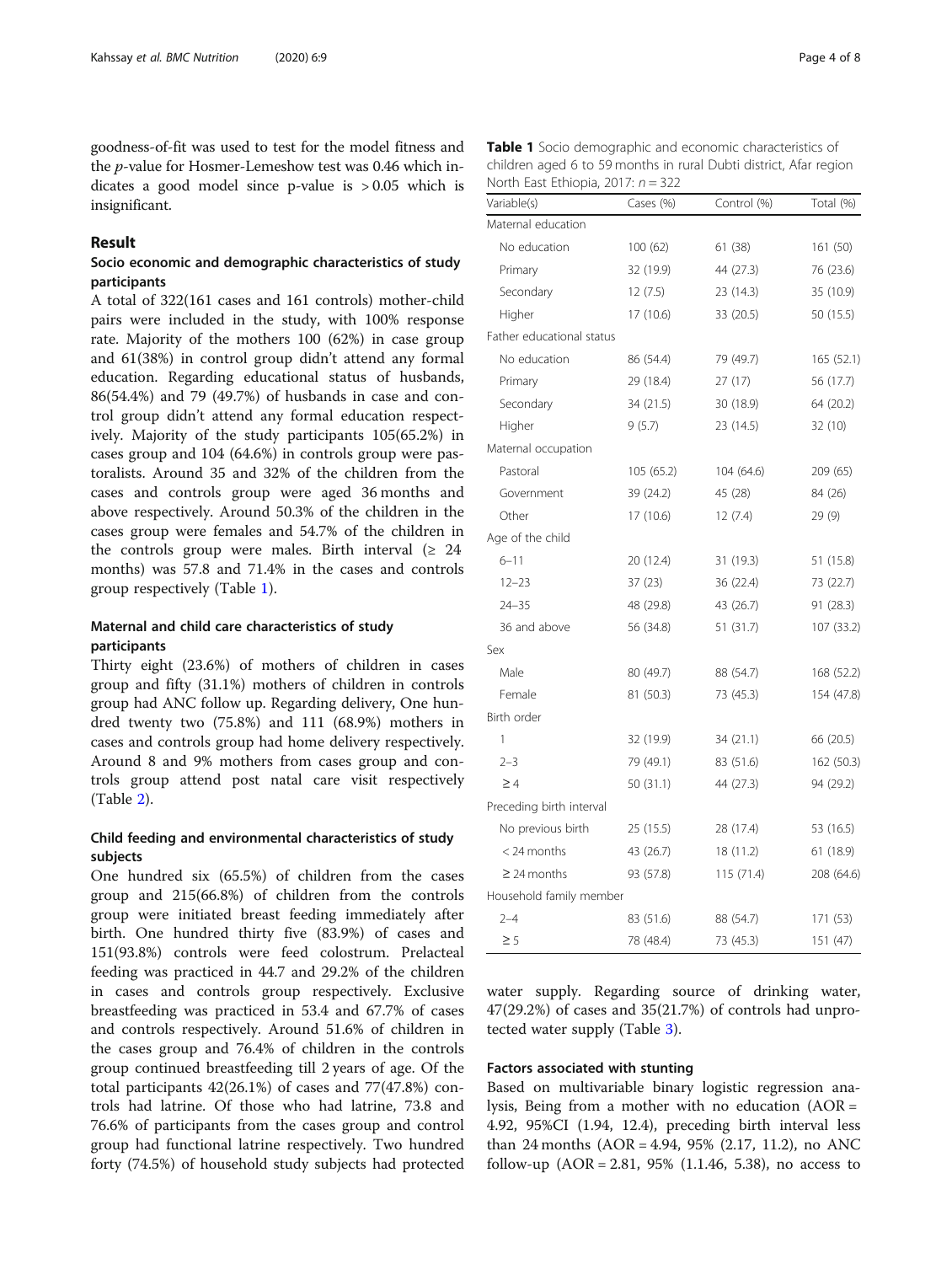goodness-of-fit was used to test for the model fitness and the p-value for Hosmer-Lemeshow test was 0.46 which indicates a good model since p-value is > 0.05 which is insignificant.

## Result

# Socio economic and demographic characteristics of study participants

A total of 322(161 cases and 161 controls) mother-child pairs were included in the study, with 100% response rate. Majority of the mothers 100 (62%) in case group and 61(38%) in control group didn't attend any formal education. Regarding educational status of husbands, 86(54.4%) and 79 (49.7%) of husbands in case and control group didn't attend any formal education respectively. Majority of the study participants 105(65.2%) in cases group and 104 (64.6%) in controls group were pastoralists. Around 35 and 32% of the children from the cases and controls group were aged 36 months and above respectively. Around 50.3% of the children in the cases group were females and 54.7% of the children in the controls group were males. Birth interval  $(≥ 24$ months) was 57.8 and 71.4% in the cases and controls group respectively (Table 1).

# Maternal and child care characteristics of study participants

Thirty eight (23.6%) of mothers of children in cases group and fifty (31.1%) mothers of children in controls group had ANC follow up. Regarding delivery, One hundred twenty two (75.8%) and 111 (68.9%) mothers in cases and controls group had home delivery respectively. Around 8 and 9% mothers from cases group and controls group attend post natal care visit respectively (Table [2\)](#page-4-0).

# Child feeding and environmental characteristics of study subjects

One hundred six (65.5%) of children from the cases group and 215(66.8%) of children from the controls group were initiated breast feeding immediately after birth. One hundred thirty five (83.9%) of cases and 151(93.8%) controls were feed colostrum. Prelacteal feeding was practiced in 44.7 and 29.2% of the children in cases and controls group respectively. Exclusive breastfeeding was practiced in 53.4 and 67.7% of cases and controls respectively. Around 51.6% of children in the cases group and 76.4% of children in the controls group continued breastfeeding till 2 years of age. Of the total participants 42(26.1%) of cases and 77(47.8%) controls had latrine. Of those who had latrine, 73.8 and 76.6% of participants from the cases group and control group had functional latrine respectively. Two hundred forty (74.5%) of household study subjects had protected

| Table 1 Socio demographic and economic characteristics of         |
|-------------------------------------------------------------------|
| children aged 6 to 59 months in rural Dubti district, Afar region |
| North East Ethiopia, 2017: $n = 322$                              |

| Variable(s)               | Cases (%)  | Control (%) | Total (%)  |
|---------------------------|------------|-------------|------------|
| Maternal education        |            |             |            |
| No education              | 100 (62)   | 61 (38)     | 161 (50)   |
| Primary                   | 32 (19.9)  | 44 (27.3)   | 76 (23.6)  |
| Secondary                 | 12(7.5)    | 23 (14.3)   | 35 (10.9)  |
| Higher                    | 17 (10.6)  | 33 (20.5)   | 50 (15.5)  |
| Father educational status |            |             |            |
| No education              | 86 (54.4)  | 79 (49.7)   | 165 (52.1) |
| Primary                   | 29 (18.4)  | 27(17)      | 56 (17.7)  |
| Secondary                 | 34 (21.5)  | 30 (18.9)   | 64 (20.2)  |
| Higher                    | 9(5.7)     | 23 (14.5)   | 32 (10)    |
| Maternal occupation       |            |             |            |
| Pastoral                  | 105 (65.2) | 104 (64.6)  | 209 (65)   |
| Government                | 39 (24.2)  | 45 (28)     | 84 (26)    |
| Other                     | 17 (10.6)  | 12(7.4)     | 29(9)      |
| Age of the child          |            |             |            |
| $6 - 11$                  | 20 (12.4)  | 31 (19.3)   | 51 (15.8)  |
| $12 - 23$                 | 37(23)     | 36 (22.4)   | 73 (22.7)  |
| $24 - 35$                 | 48 (29.8)  | 43 (26.7)   | 91 (28.3)  |
| 36 and above              | 56 (34.8)  | 51 (31.7)   | 107 (33.2) |
| Sex                       |            |             |            |
| Male                      | 80 (49.7)  | 88 (54.7)   | 168 (52.2) |
| Female                    | 81 (50.3)  | 73 (45.3)   | 154 (47.8) |
| Birth order               |            |             |            |
| 1                         | 32 (19.9)  | 34 (21.1)   | 66 (20.5)  |
| $2 - 3$                   | 79 (49.1)  | 83 (51.6)   | 162 (50.3) |
| $\geq 4$                  | 50 (31.1)  | 44 (27.3)   | 94 (29.2)  |
| Preceding birth interval  |            |             |            |
| No previous birth         | 25 (15.5)  | 28 (17.4)   | 53 (16.5)  |
| $<$ 24 months             | 43 (26.7)  | 18 (11.2)   | 61 (18.9)  |
| $\geq$ 24 months          | 93 (57.8)  | 115(71.4)   | 208 (64.6) |
| Household family member   |            |             |            |
| $2 - 4$                   | 83 (51.6)  | 88 (54.7)   | 171 (53)   |
| ≥5                        | 78 (48.4)  | 73 (45.3)   | 151 (47)   |

water supply. Regarding source of drinking water, 47(29.2%) of cases and 35(21.7%) of controls had unprotected water supply (Table [3](#page-4-0)).

## Factors associated with stunting

Based on multivariable binary logistic regression analysis, Being from a mother with no education (AOR = 4.92, 95%CI (1.94, 12.4), preceding birth interval less than 24 months  $(AOR = 4.94, 95\% (2.17, 11.2),$  no ANC follow-up  $(AOR = 2.81, 95\% (1.1.46, 5.38),$  no access to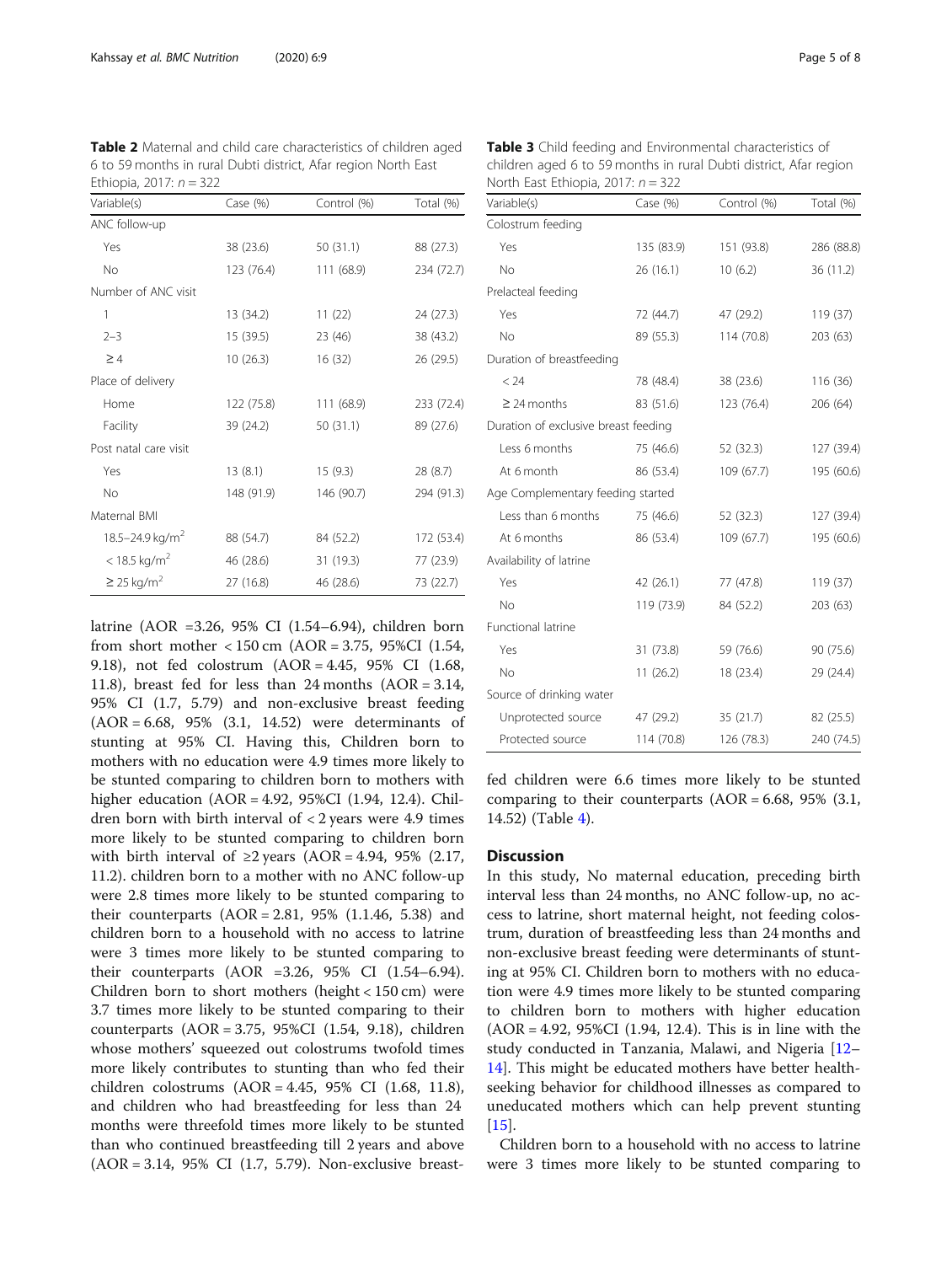| Variable(s)                     | Case $(\%)$ | Control (%) | Total (%)  |
|---------------------------------|-------------|-------------|------------|
| ANC follow-up                   |             |             |            |
| Yes                             | 38 (23.6)   | 50 (31.1)   | 88 (27.3)  |
| No                              | 123 (76.4)  | 111 (68.9)  | 234 (72.7) |
| Number of ANC visit             |             |             |            |
| 1                               | 13 (34.2)   | 11(22)      | 24(27.3)   |
| $2 - 3$                         | 15 (39.5)   | 23 (46)     | 38 (43.2)  |
| $\geq 4$                        | 10(26.3)    | 16 (32)     | 26 (29.5)  |
| Place of delivery               |             |             |            |
| Home                            | 122 (75.8)  | 111(68.9)   | 233 (72.4) |
| Facility                        | 39 (24.2)   | 50(31.1)    | 89 (27.6)  |
| Post natal care visit           |             |             |            |
| Yes                             | 13 (8.1)    | 15(9.3)     | 28(8.7)    |
| <b>No</b>                       | 148 (91.9)  | 146 (90.7)  | 294 (91.3) |
| Maternal BMI                    |             |             |            |
| $18.5 - 24.9$ kg/m <sup>2</sup> | 88 (54.7)   | 84 (52.2)   | 172 (53.4) |
| $<$ 18.5 kg/m <sup>2</sup>      | 46 (28.6)   | 31 (19.3)   | 77 (23.9)  |
| $\geq$ 25 kg/m <sup>2</sup>     | 27 (16.8)   | 46 (28.6)   | 73 (22.7)  |

<span id="page-4-0"></span>Table 2 Maternal and child care characteristics of children aged 6 to 59 months in rural Dubti district, Afar region North East Ethiopia, 2017:  $n = 322$ 

latrine (AOR =3.26, 95% CI (1.54–6.94), children born from short mother < 150 cm (AOR = 3.75, 95%CI (1.54, 9.18), not fed colostrum (AOR = 4.45, 95% CI (1.68, 11.8), breast fed for less than 24 months  $(AOR = 3.14,$ 95% CI (1.7, 5.79) and non-exclusive breast feeding (AOR = 6.68, 95% (3.1, 14.52) were determinants of stunting at 95% CI. Having this, Children born to mothers with no education were 4.9 times more likely to be stunted comparing to children born to mothers with higher education (AOR = 4.92, 95%CI (1.94, 12.4). Children born with birth interval of < 2 years were 4.9 times more likely to be stunted comparing to children born with birth interval of  $\geq$ 2 years (AOR = 4.94, 95% (2.17, 11.2). children born to a mother with no ANC follow-up were 2.8 times more likely to be stunted comparing to their counterparts  $(AOR = 2.81, 95\% (1.1.46, 5.38)$  and children born to a household with no access to latrine were 3 times more likely to be stunted comparing to their counterparts (AOR =3.26, 95% CI (1.54–6.94). Children born to short mothers (height < 150 cm) were 3.7 times more likely to be stunted comparing to their counterparts (AOR = 3.75, 95%CI (1.54, 9.18), children whose mothers' squeezed out colostrums twofold times more likely contributes to stunting than who fed their children colostrums (AOR = 4.45, 95% CI (1.68, 11.8), and children who had breastfeeding for less than 24 months were threefold times more likely to be stunted than who continued breastfeeding till 2 years and above (AOR = 3.14, 95% CI (1.7, 5.79). Non-exclusive breast-

Table 3 Child feeding and Environmental characteristics of children aged 6 to 59 months in rural Dubti district, Afar region North East Ethiopia, 2017:  $n = 322$ 

| Variable(s)                          | Case (%)   | Control (%) | Total (%)  |
|--------------------------------------|------------|-------------|------------|
| Colostrum feeding                    |            |             |            |
| Yes                                  | 135 (83.9) | 151 (93.8)  | 286 (88.8) |
| No                                   | 26(16.1)   | 10(6.2)     | 36 (11.2)  |
| Prelacteal feeding                   |            |             |            |
| Yes                                  | 72 (44.7)  | 47 (29.2)   | 119 (37)   |
| No                                   | 89 (55.3)  | 114 (70.8)  | 203 (63)   |
| Duration of breastfeeding            |            |             |            |
| < 24                                 | 78 (48.4)  | 38 (23.6)   | 116 (36)   |
| $\geq$ 24 months                     | 83 (51.6)  | 123 (76.4)  | 206 (64)   |
| Duration of exclusive breast feeding |            |             |            |
| Less 6 months                        | 75 (46.6)  | 52 (32.3)   | 127 (39.4) |
| At 6 month                           | 86 (53.4)  | 109 (67.7)  | 195 (60.6) |
| Age Complementary feeding started    |            |             |            |
| Less than 6 months                   | 75 (46.6)  | 52 (32.3)   | 127 (39.4) |
| At 6 months                          | 86 (53.4)  | 109 (67.7)  | 195 (60.6) |
| Availability of latrine              |            |             |            |
| Yes                                  | 42(26.1)   | 77 (47.8)   | 119(37)    |
| No                                   | 119 (73.9) | 84 (52.2)   | 203(63)    |
| Functional latrine                   |            |             |            |
| Yes                                  | 31 (73.8)  | 59 (76.6)   | 90 (75.6)  |
| No                                   | 11(26.2)   | 18 (23.4)   | 29 (24.4)  |
| Source of drinking water             |            |             |            |
| Unprotected source                   | 47 (29.2)  | 35(21.7)    | 82 (25.5)  |
| Protected source                     | 114 (70.8) | 126 (78.3)  | 240 (74.5) |

fed children were 6.6 times more likely to be stunted comparing to their counterparts  $(AOR = 6.68, 95\% (3.1,$ 14.52) (Table [4\)](#page-5-0).

#### **Discussion**

In this study, No maternal education, preceding birth interval less than 24 months, no ANC follow-up, no access to latrine, short maternal height, not feeding colostrum, duration of breastfeeding less than 24 months and non-exclusive breast feeding were determinants of stunting at 95% CI. Children born to mothers with no education were 4.9 times more likely to be stunted comparing to children born to mothers with higher education (AOR = 4.92, 95%CI (1.94, 12.4). This is in line with the study conducted in Tanzania, Malawi, and Nigeria [[12](#page-7-0)– [14\]](#page-7-0). This might be educated mothers have better healthseeking behavior for childhood illnesses as compared to uneducated mothers which can help prevent stunting  $[15]$  $[15]$ .

Children born to a household with no access to latrine were 3 times more likely to be stunted comparing to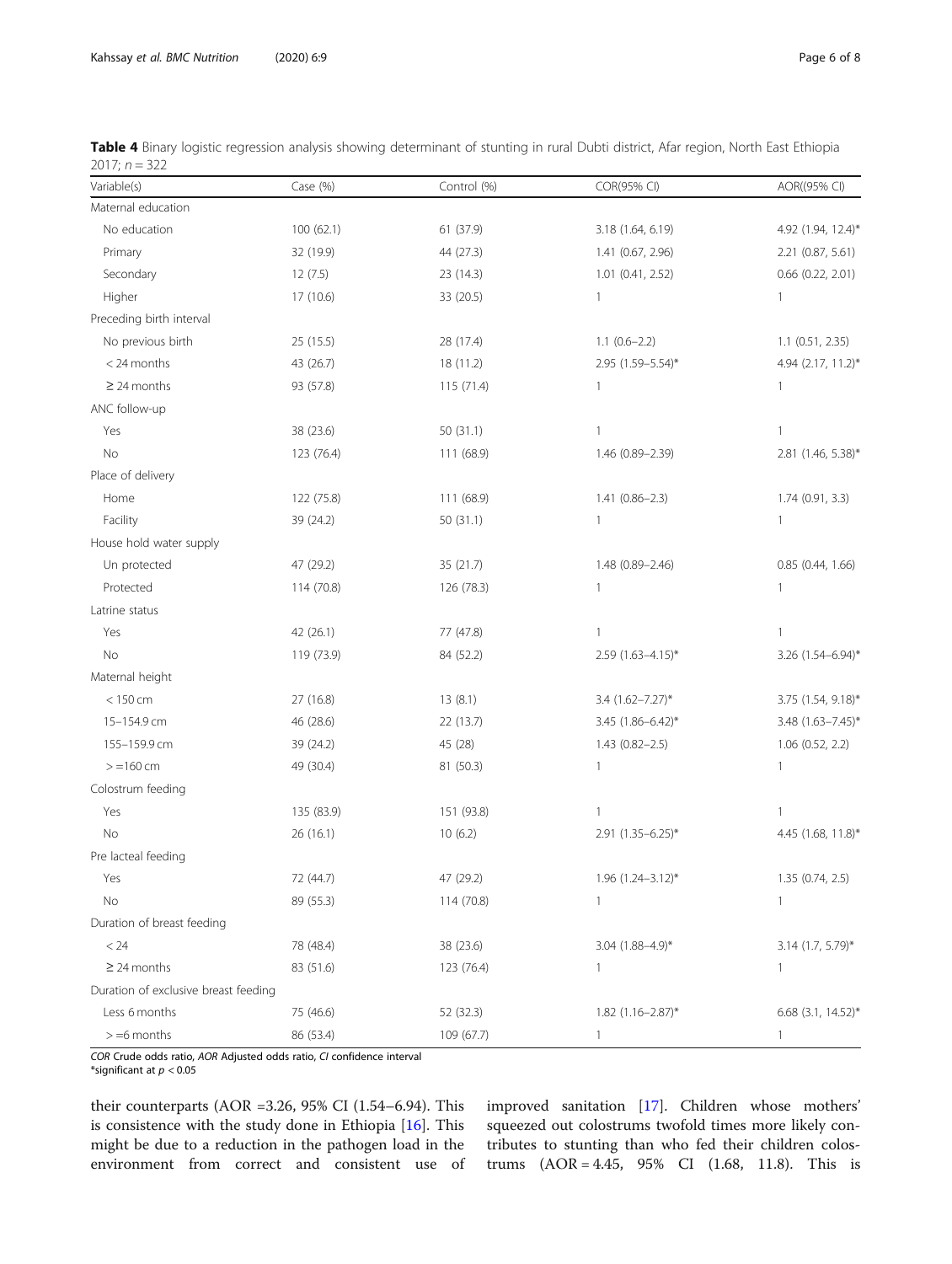| Variable(s)                          | Case (%)   | Control (%) | COR(95% CI)             | AOR((95% CI)        |
|--------------------------------------|------------|-------------|-------------------------|---------------------|
| Maternal education                   |            |             |                         |                     |
| No education                         | 100 (62.1) | 61 (37.9)   | 3.18 (1.64, 6.19)       | 4.92 (1.94, 12.4)*  |
| Primary                              | 32 (19.9)  | 44 (27.3)   | 1.41 (0.67, 2.96)       | 2.21(0.87, 5.61)    |
| Secondary                            | 12(7.5)    | 23 (14.3)   | 1.01 (0.41, 2.52)       | 0.66 (0.22, 2.01)   |
| Higher                               | 17 (10.6)  | 33 (20.5)   | $\mathbf{1}$            | 1                   |
| Preceding birth interval             |            |             |                         |                     |
| No previous birth                    | 25 (15.5)  | 28 (17.4)   | $1.1 (0.6 - 2.2)$       | $1.1$ (0.51, 2.35)  |
| < 24 months                          | 43 (26.7)  | 18 (11.2)   | 2.95 (1.59-5.54)*       | 4.94 (2.17, 11.2)*  |
| $\geq$ 24 months                     | 93 (57.8)  | 115 (71.4)  | 1                       | 1                   |
| ANC follow-up                        |            |             |                         |                     |
| Yes                                  | 38 (23.6)  | 50 (31.1)   | $\mathbf{1}$            | $\mathbf{1}$        |
| <b>No</b>                            | 123 (76.4) | 111 (68.9)  | 1.46 (0.89-2.39)        | 2.81 (1.46, 5.38)*  |
| Place of delivery                    |            |             |                         |                     |
| Home                                 | 122 (75.8) | 111 (68.9)  | $1.41(0.86 - 2.3)$      | 1.74(0.91, 3.3)     |
| Facility                             | 39 (24.2)  | 50(31.1)    | 1                       | $\mathbf{1}$        |
| House hold water supply              |            |             |                         |                     |
| Un protected                         | 47 (29.2)  | 35 (21.7)   | 1.48 (0.89-2.46)        | 0.85(0.44, 1.66)    |
| Protected                            | 114 (70.8) | 126 (78.3)  | 1                       | 1                   |
| Latrine status                       |            |             |                         |                     |
| Yes                                  | 42 (26.1)  | 77 (47.8)   | 1                       | 1                   |
| No                                   | 119 (73.9) | 84 (52.2)   | 2.59 (1.63-4.15)*       | 3.26 (1.54-6.94)*   |
| Maternal height                      |            |             |                         |                     |
| $< 150$ cm                           | 27 (16.8)  | 13(8.1)     | 3.4 (1.62-7.27)*        | 3.75 (1.54, 9.18)*  |
| 15-154.9 cm                          | 46 (28.6)  | 22 (13.7)   | 3.45 (1.86-6.42)*       | 3.48 (1.63-7.45)*   |
| 155-159.9 cm                         | 39 (24.2)  | 45 (28)     | $1.43(0.82 - 2.5)$      | 1.06 (0.52, 2.2)    |
| $> = 160$ cm                         | 49 (30.4)  | 81 (50.3)   | $\mathbf{1}$            | 1                   |
| Colostrum feeding                    |            |             |                         |                     |
| Yes                                  | 135 (83.9) | 151 (93.8)  | $\mathbf{1}$            | 1                   |
| <b>No</b>                            | 26 (16.1)  | 10(6.2)     | 2.91 (1.35-6.25)*       | 4.45 (1.68, 11.8)*  |
| Pre lacteal feeding                  |            |             |                         |                     |
| Yes                                  | 72 (44.7)  | 47 (29.2)   | 1.96 (1.24-3.12)*       | 1.35 (0.74, 2.5)    |
| No                                   | 89 (55.3)  | 114 (70.8)  | 1                       | $\mathbf{1}$        |
| Duration of breast feeding           |            |             |                         |                     |
| < 24                                 | 78 (48.4)  | 38 (23.6)   | $3.04$ $(1.88 - 4.9)$ * | $3.14$ (1.7, 5.79)* |
| $\geq$ 24 months                     | 83 (51.6)  | 123 (76.4)  | 1                       | 1                   |
| Duration of exclusive breast feeding |            |             |                         |                     |
| Less 6 months                        | 75 (46.6)  | 52 (32.3)   | 1.82 (1.16-2.87)*       | 6.68 (3.1, 14.52)*  |
| $> = 6$ months                       | 86 (53.4)  | 109 (67.7)  | 1                       | 1                   |

<span id="page-5-0"></span>Table 4 Binary logistic regression analysis showing determinant of stunting in rural Dubti district, Afar region, North East Ethiopia 2017;  $n = 322$ 

COR Crude odds ratio, AOR Adjusted odds ratio, CI confidence interval

\*significant at  $p < 0.05$ 

their counterparts (AOR =3.26, 95% CI (1.54–6.94). This is consistence with the study done in Ethiopia [[16\]](#page-7-0). This might be due to a reduction in the pathogen load in the environment from correct and consistent use of improved sanitation [[17](#page-7-0)]. Children whose mothers' squeezed out colostrums twofold times more likely contributes to stunting than who fed their children colostrums (AOR = 4.45, 95% CI (1.68, 11.8). This is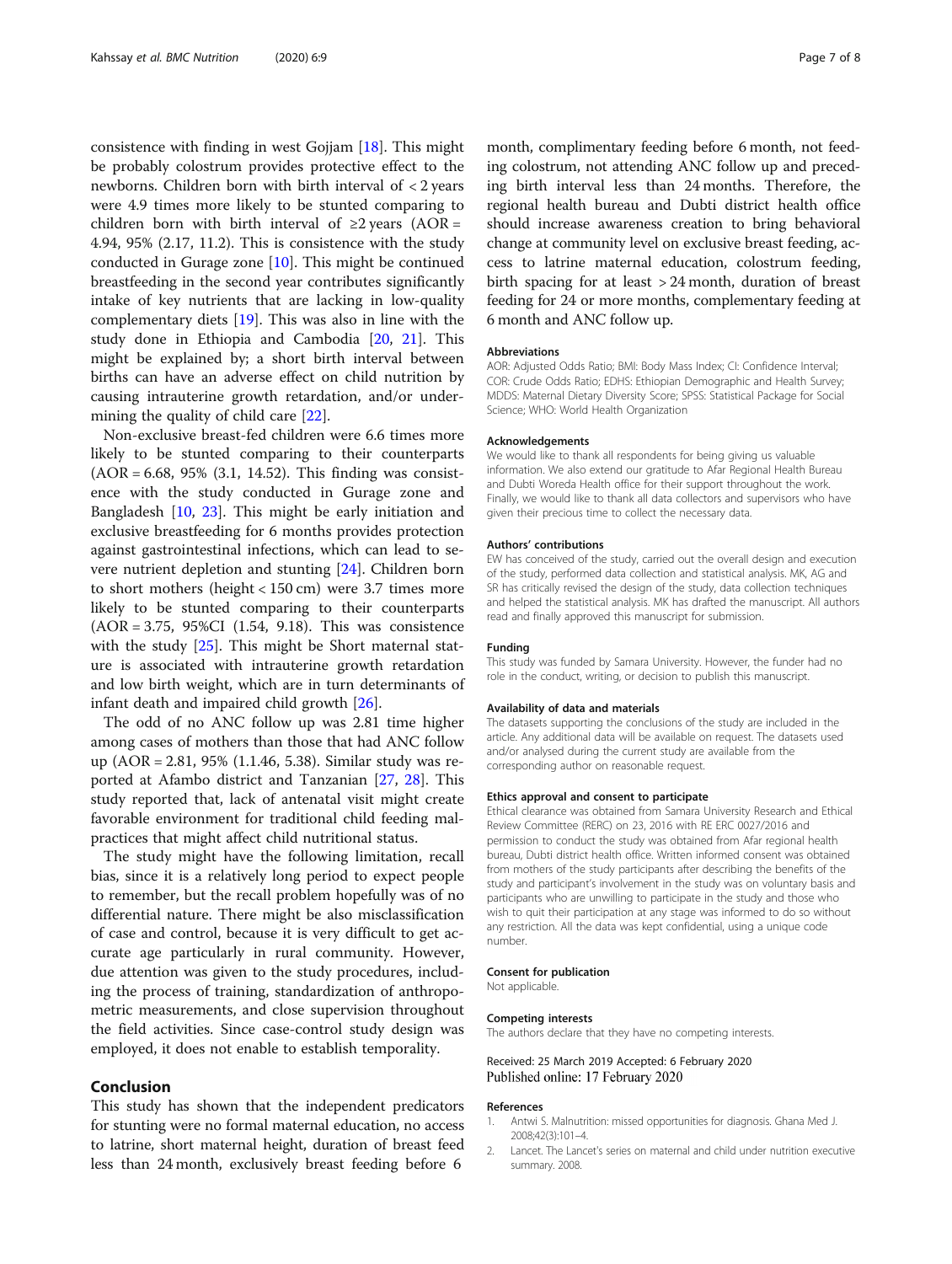<span id="page-6-0"></span>consistence with finding in west Gojjam [\[18](#page-7-0)]. This might be probably colostrum provides protective effect to the newborns. Children born with birth interval of < 2 years were 4.9 times more likely to be stunted comparing to children born with birth interval of  $\geq 2$  years (AOR = 4.94, 95% (2.17, 11.2). This is consistence with the study conducted in Gurage zone  $[10]$ . This might be continued breastfeeding in the second year contributes significantly intake of key nutrients that are lacking in low-quality complementary diets [\[19](#page-7-0)]. This was also in line with the study done in Ethiopia and Cambodia [\[20,](#page-7-0) [21](#page-7-0)]. This might be explained by; a short birth interval between births can have an adverse effect on child nutrition by causing intrauterine growth retardation, and/or undermining the quality of child care [[22\]](#page-7-0).

Non-exclusive breast-fed children were 6.6 times more likely to be stunted comparing to their counterparts (AOR = 6.68, 95% (3.1, 14.52). This finding was consistence with the study conducted in Gurage zone and Bangladesh [\[10](#page-7-0), [23](#page-7-0)]. This might be early initiation and exclusive breastfeeding for 6 months provides protection against gastrointestinal infections, which can lead to severe nutrient depletion and stunting [[24](#page-7-0)]. Children born to short mothers (height < 150 cm) were 3.7 times more likely to be stunted comparing to their counterparts (AOR = 3.75, 95%CI (1.54, 9.18). This was consistence with the study [\[25\]](#page-7-0). This might be Short maternal stature is associated with intrauterine growth retardation and low birth weight, which are in turn determinants of infant death and impaired child growth [[26\]](#page-7-0).

The odd of no ANC follow up was 2.81 time higher among cases of mothers than those that had ANC follow up (AOR = 2.81, 95% (1.1.46, 5.38). Similar study was reported at Afambo district and Tanzanian [\[27](#page-7-0), [28\]](#page-7-0). This study reported that, lack of antenatal visit might create favorable environment for traditional child feeding malpractices that might affect child nutritional status.

The study might have the following limitation, recall bias, since it is a relatively long period to expect people to remember, but the recall problem hopefully was of no differential nature. There might be also misclassification of case and control, because it is very difficult to get accurate age particularly in rural community. However, due attention was given to the study procedures, including the process of training, standardization of anthropometric measurements, and close supervision throughout the field activities. Since case-control study design was employed, it does not enable to establish temporality.

### Conclusion

This study has shown that the independent predicators for stunting were no formal maternal education, no access to latrine, short maternal height, duration of breast feed less than 24 month, exclusively breast feeding before 6

month, complimentary feeding before 6 month, not feeding colostrum, not attending ANC follow up and preceding birth interval less than 24 months. Therefore, the regional health bureau and Dubti district health office should increase awareness creation to bring behavioral change at community level on exclusive breast feeding, access to latrine maternal education, colostrum feeding, birth spacing for at least > 24 month, duration of breast feeding for 24 or more months, complementary feeding at 6 month and ANC follow up.

#### Abbreviations

AOR: Adjusted Odds Ratio; BMI: Body Mass Index; CI: Confidence Interval; COR: Crude Odds Ratio; EDHS: Ethiopian Demographic and Health Survey; MDDS: Maternal Dietary Diversity Score; SPSS: Statistical Package for Social Science; WHO: World Health Organization

#### Acknowledgements

We would like to thank all respondents for being giving us valuable information. We also extend our gratitude to Afar Regional Health Bureau and Dubti Woreda Health office for their support throughout the work. Finally, we would like to thank all data collectors and supervisors who have given their precious time to collect the necessary data.

#### Authors' contributions

EW has conceived of the study, carried out the overall design and execution of the study, performed data collection and statistical analysis. MK, AG and SR has critically revised the design of the study, data collection techniques and helped the statistical analysis. MK has drafted the manuscript. All authors read and finally approved this manuscript for submission.

#### Funding

This study was funded by Samara University. However, the funder had no role in the conduct, writing, or decision to publish this manuscript.

#### Availability of data and materials

The datasets supporting the conclusions of the study are included in the article. Any additional data will be available on request. The datasets used and/or analysed during the current study are available from the corresponding author on reasonable request.

#### Ethics approval and consent to participate

Ethical clearance was obtained from Samara University Research and Ethical Review Committee (RERC) on 23, 2016 with RE ERC 0027/2016 and permission to conduct the study was obtained from Afar regional health bureau, Dubti district health office. Written informed consent was obtained from mothers of the study participants after describing the benefits of the study and participant's involvement in the study was on voluntary basis and participants who are unwilling to participate in the study and those who wish to quit their participation at any stage was informed to do so without any restriction. All the data was kept confidential, using a unique code number.

#### Consent for publication

Not applicable.

#### Competing interests

The authors declare that they have no competing interests.

Received: 25 March 2019 Accepted: 6 February 2020 Published online: 17 February 2020

#### References

- 1. Antwi S. Malnutrition: missed opportunities for diagnosis. Ghana Med J. 2008;42(3):101–4.
- 2. Lancet. The Lancet's series on maternal and child under nutrition executive summary. 2008.